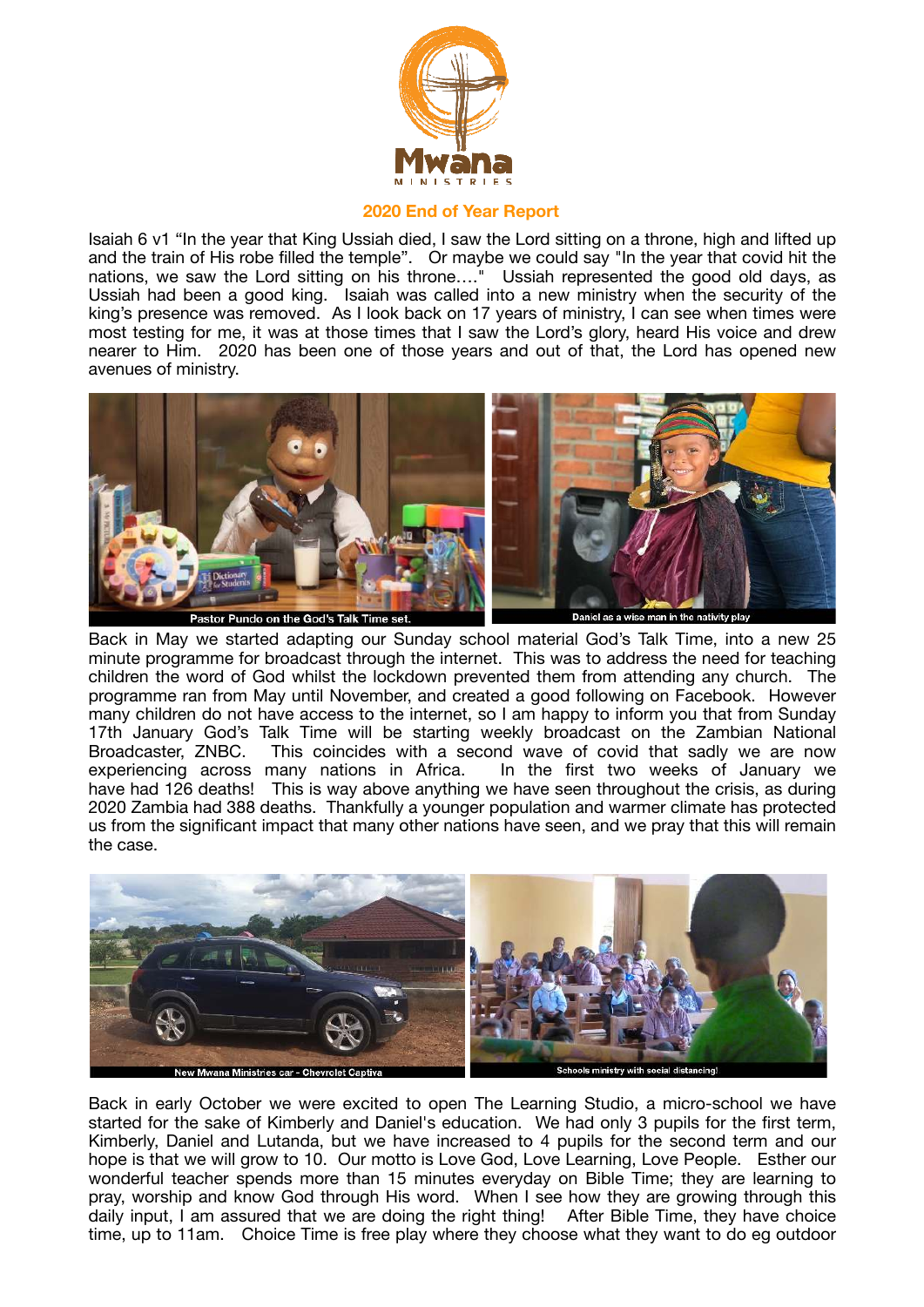

## **2020 End of Year Report**

Isaiah 6 v1 "In the year that King Ussiah died, I saw the Lord sitting on a throne, high and lifted up and the train of His robe filled the temple". Or maybe we could say "In the year that covid hit the nations, we saw the Lord sitting on his throne…." Ussiah represented the good old days, as Ussiah had been a good king. Isaiah was called into a new ministry when the security of the king's presence was removed. As I look back on 17 years of ministry, I can see when times were most testing for me, it was at those times that I saw the Lord's glory, heard His voice and drew nearer to Him. 2020 has been one of those years and out of that, the Lord has opened new avenues of ministry.



Back in May we started adapting our Sunday school material God's Talk Time, into a new 25 minute programme for broadcast through the internet. This was to address the need for teaching children the word of God whilst the lockdown prevented them from attending any church. The programme ran from May until November, and created a good following on Facebook. However many children do not have access to the internet, so I am happy to inform you that from Sunday 17th January God's Talk Time will be starting weekly broadcast on the Zambian National Broadcaster, ZNBC. This coincides with a second wave of covid that sadly we are now experiencing across many nations in Africa. In the first two weeks of January we have had 126 deaths! This is way above anything we have seen throughout the crisis, as during 2020 Zambia had 388 deaths. Thankfully a younger population and warmer climate has protected us from the significant impact that many other nations have seen, and we pray that this will remain the case.



Back in early October we were excited to open The Learning Studio, a micro-school we have started for the sake of Kimberly and Daniel's education. We had only 3 pupils for the first term, Kimberly, Daniel and Lutanda, but we have increased to 4 pupils for the second term and our hope is that we will grow to 10. Our motto is Love God, Love Learning, Love People. Esther our wonderful teacher spends more than 15 minutes everyday on Bible Time; they are learning to pray, worship and know God through His word. When I see how they are growing through this daily input, I am assured that we are doing the right thing! After Bible Time, they have choice time, up to 11am. Choice Time is free play where they choose what they want to do eg outdoor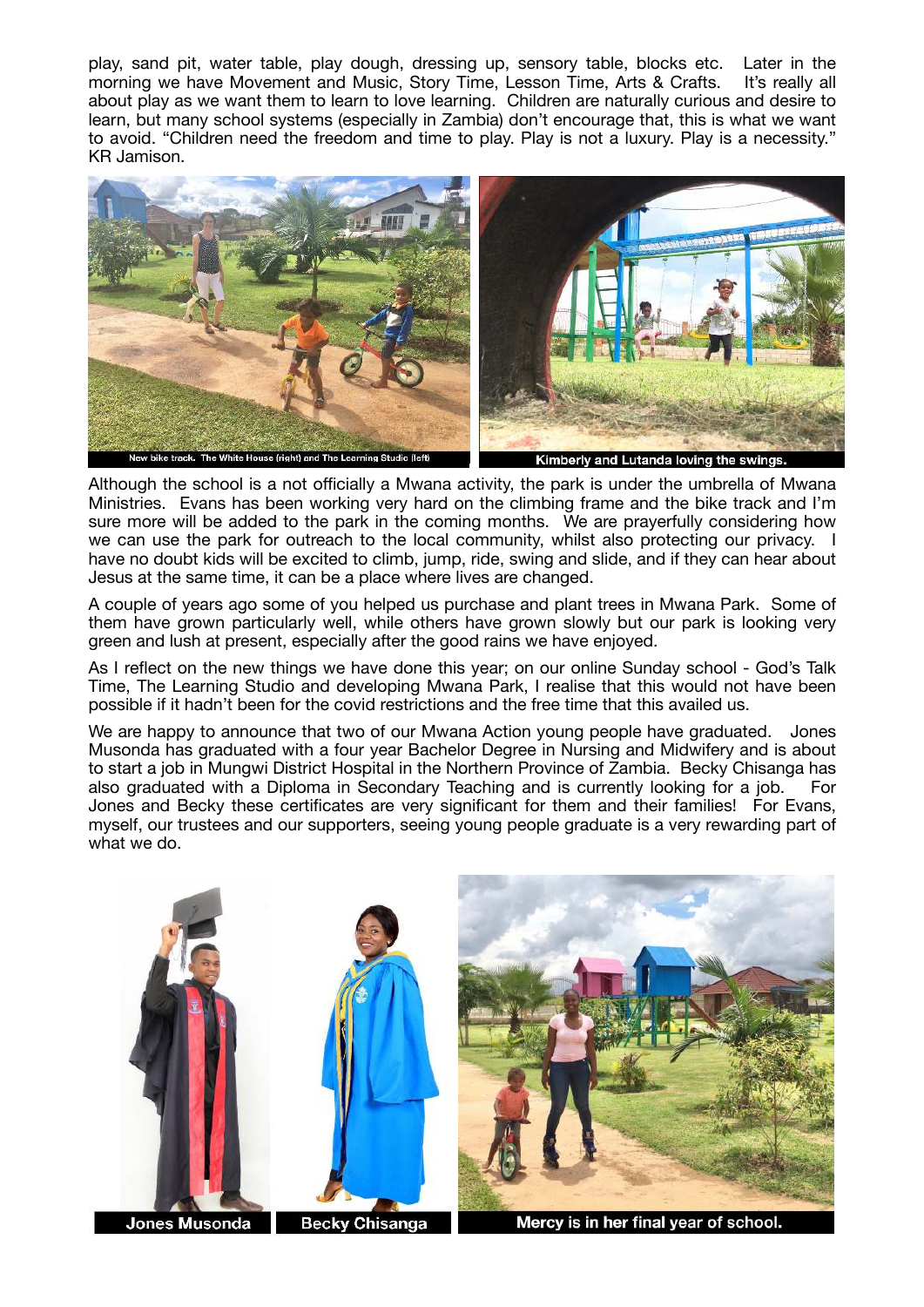play, sand pit, water table, play dough, dressing up, sensory table, blocks etc. Later in the morning we have Movement and Music, Story Time, Lesson Time, Arts & Crafts. It's really all about play as we want them to learn to love learning. Children are naturally curious and desire to learn, but many school systems (especially in Zambia) don't encourage that, this is what we want to avoid. "Children need the freedom and time to play. Play is not a luxury. Play is a necessity." KR Jamison.



Although the school is a not officially a Mwana activity, the park is under the umbrella of Mwana Ministries. Evans has been working very hard on the climbing frame and the bike track and I'm sure more will be added to the park in the coming months. We are prayerfully considering how we can use the park for outreach to the local community, whilst also protecting our privacy. I have no doubt kids will be excited to climb, jump, ride, swing and slide, and if they can hear about Jesus at the same time, it can be a place where lives are changed.

A couple of years ago some of you helped us purchase and plant trees in Mwana Park. Some of them have grown particularly well, while others have grown slowly but our park is looking very green and lush at present, especially after the good rains we have enjoyed.

As I reflect on the new things we have done this year; on our online Sunday school - God's Talk Time, The Learning Studio and developing Mwana Park, I realise that this would not have been possible if it hadn't been for the covid restrictions and the free time that this availed us.

We are happy to announce that two of our Mwana Action young people have graduated. Jones Musonda has graduated with a four year Bachelor Degree in Nursing and Midwifery and is about to start a job in Mungwi District Hospital in the Northern Province of Zambia. Becky Chisanga has also graduated with a Diploma in Secondary Teaching and is currently looking for a job. For Jones and Becky these certificates are very significant for them and their families! For Evans, myself, our trustees and our supporters, seeing young people graduate is a very rewarding part of what we do.





Mercy is in her final year of school.